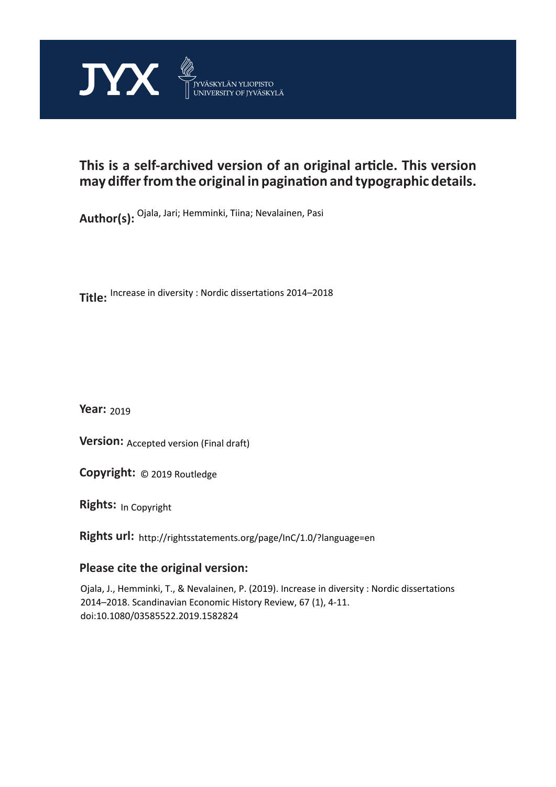

# **This is a self-archived version of an original article. This version may differ from the original in pagination and typographic details.**

**Author(s):**  Ojala, Jari; Hemminki, Tiina; Nevalainen, Pasi

**Title:**  Increase in diversity : Nordic dissertations 2014–2018

**Year:**  2019

**Version: Accepted version (Final draft)** 

**Version:** Accepted version (Final draft)<br>**Copyright:** © 2019 Routledge

**Rights:** In Copyright

**Rights url:**  http://rightsstatements.org/page/InC/1.0/?language=en

## **Please cite the original version:**

Ojala, J., Hemminki, T., & Nevalainen, P. (2019). Increase in diversity : Nordic dissertations 2014–2018. Scandinavian Economic History Review, 67 (1), 4-11. doi:10.1080/03585522.2019.1582824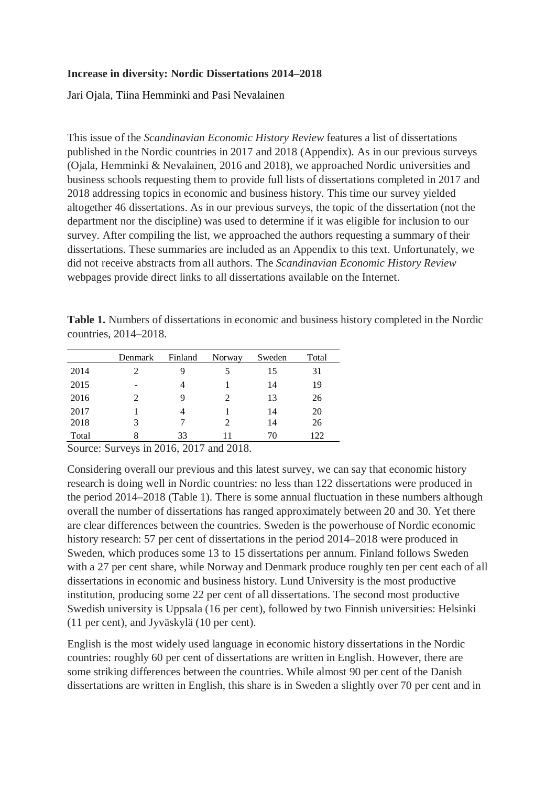### **Increase in diversity: Nordic Dissertations 2014–2018**

Jari Ojala, Tiina Hemminki and Pasi Nevalainen

This issue of the *Scandinavian Economic History Review* features a list of dissertations published in the Nordic countries in 2017 and 2018 (Appendix). As in our previous surveys (Ojala, Hemminki & Nevalainen, 2016 and 2018), we approached Nordic universities and business schools requesting them to provide full lists of dissertations completed in 2017 and 2018 addressing topics in economic and business history. This time our survey yielded altogether 46 dissertations. As in our previous surveys, the topic of the dissertation (not the department nor the discipline) was used to determine if it was eligible for inclusion to our survey. After compiling the list, we approached the authors requesting a summary of their dissertations. These summaries are included as an Appendix to this text. Unfortunately, we did not receive abstracts from all authors. The *Scandinavian Economic History Review* webpages provide direct links to all dissertations available on the Internet.

**Table 1.** Numbers of dissertations in economic and business history completed in the Nordic countries, 2014–2018.

|                                                                                                                                                                                                                                              | Denmark                     | Finland         | Norway  | Sweden | Total |
|----------------------------------------------------------------------------------------------------------------------------------------------------------------------------------------------------------------------------------------------|-----------------------------|-----------------|---------|--------|-------|
| 2014                                                                                                                                                                                                                                         | $\mathcal{D}_{\mathcal{L}}$ | 9               |         | 15     | 31    |
| 2015                                                                                                                                                                                                                                         |                             | 4               |         | 14     | 19    |
| 2016                                                                                                                                                                                                                                         | $\mathcal{D}_{\mathcal{L}}$ | 9               | 2       | 13     | 26    |
| 2017                                                                                                                                                                                                                                         |                             | 4               |         | 14     | 20    |
| 2018                                                                                                                                                                                                                                         | 3                           |                 | 2       | 14     | 26    |
| Total<br>-<br>and the contract of the contract of the contract of the contract of the contract of the contract of the contract of the contract of the contract of the contract of the contract of the contract of the contract of the contra | 8<br>$\sim$ $\sim$          | 33<br>--------- | 11<br>. | 70     | 122   |

Source: Surveys in 2016, 2017 and 2018.

Considering overall our previous and this latest survey, we can say that economic history research is doing well in Nordic countries: no less than 122 dissertations were produced in the period 2014–2018 (Table 1). There is some annual fluctuation in these numbers although overall the number of dissertations has ranged approximately between 20 and 30. Yet there are clear differences between the countries. Sweden is the powerhouse of Nordic economic history research: 57 per cent of dissertations in the period 2014–2018 were produced in Sweden, which produces some 13 to 15 dissertations per annum. Finland follows Sweden with a 27 per cent share, while Norway and Denmark produce roughly ten per cent each of all dissertations in economic and business history. Lund University is the most productive institution, producing some 22 per cent of all dissertations. The second most productive Swedish university is Uppsala (16 per cent), followed by two Finnish universities: Helsinki (11 per cent), and Jyväskylä (10 per cent).

English is the most widely used language in economic history dissertations in the Nordic countries: roughly 60 per cent of dissertations are written in English. However, there are some striking differences between the countries. While almost 90 per cent of the Danish dissertations are written in English, this share is in Sweden a slightly over 70 per cent and in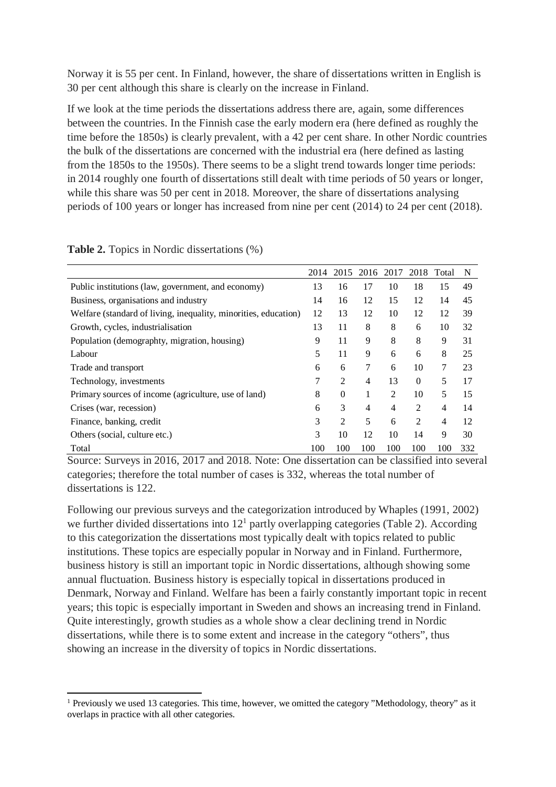Norway it is 55 per cent. In Finland, however, the share of dissertations written in English is 30 per cent although this share is clearly on the increase in Finland.

If we look at the time periods the dissertations address there are, again, some differences between the countries. In the Finnish case the early modern era (here defined as roughly the time before the 1850s) is clearly prevalent, with a 42 per cent share. In other Nordic countries the bulk of the dissertations are concerned with the industrial era (here defined as lasting from the 1850s to the 1950s). There seems to be a slight trend towards longer time periods: in 2014 roughly one fourth of dissertations still dealt with time periods of 50 years or longer, while this share was 50 per cent in 2018. Moreover, the share of dissertations analysing periods of 100 years or longer has increased from nine per cent (2014) to 24 per cent (2018).

|                                                                 | 2014 | 2015     | 2016 2017 |     | 2018     | Total | N   |
|-----------------------------------------------------------------|------|----------|-----------|-----|----------|-------|-----|
| Public institutions (law, government, and economy)              |      | 16       | 17        | 10  | 18       | 15    | 49  |
| Business, organisations and industry                            |      | 16       | 12        | 15  | 12       | 14    | 45  |
| Welfare (standard of living, inequality, minorities, education) |      | 13       | 12        | 10  | 12       | 12    | 39  |
| Growth, cycles, industrialisation                               |      | 11       | 8         | 8   | 6        | 10    | 32  |
| Population (demographty, migration, housing)                    |      | 11       | 9         | 8   | 8        | 9     | 31  |
| Labour                                                          | 5    | 11       | 9         | 6   | 6        | 8     | 25  |
| Trade and transport                                             | 6    | 6        | 7         | 6   | 10       | 7     | 23  |
| Technology, investments                                         |      | 2        | 4         | 13  | $\Omega$ | 5     | 17  |
| Primary sources of income (agriculture, use of land)            |      | $\Omega$ | 1         | 2   | 10       | 5     | 15  |
| Crises (war, recession)                                         |      | 3        | 4         | 4   | 2        | 4     | 14  |
| Finance, banking, credit                                        |      | 2        | 5         | 6   | 2        | 4     | 12  |
| Others (social, culture etc.)                                   |      | 10       | 12        | 10  | 14       | 9     | 30  |
| Total                                                           |      | 100      | 100       | 100 | 100      | 100   | 332 |

**Table 2.** Topics in Nordic dissertations (%)

Source: Surveys in 2016, 2017 and 2018. Note: One dissertation can be classified into several categories; therefore the total number of cases is 332, whereas the total number of dissertations is 122.

Following our previous surveys and the categorization introduced by Whaples (1991, 2002) we further divided dissertations into  $12<sup>1</sup>$  partly overlapping categories (Table 2). According to this categorization the dissertations most typically dealt with topics related to public institutions. These topics are especially popular in Norway and in Finland. Furthermore, business history is still an important topic in Nordic dissertations, although showing some annual fluctuation. Business history is especially topical in dissertations produced in Denmark, Norway and Finland. Welfare has been a fairly constantly important topic in recent years; this topic is especially important in Sweden and shows an increasing trend in Finland. Quite interestingly, growth studies as a whole show a clear declining trend in Nordic dissertations, while there is to some extent and increase in the category "others", thus showing an increase in the diversity of topics in Nordic dissertations.

<sup>&</sup>lt;sup>1</sup> Previously we used 13 categories. This time, however, we omitted the category "Methodology, theory" as it overlaps in practice with all other categories.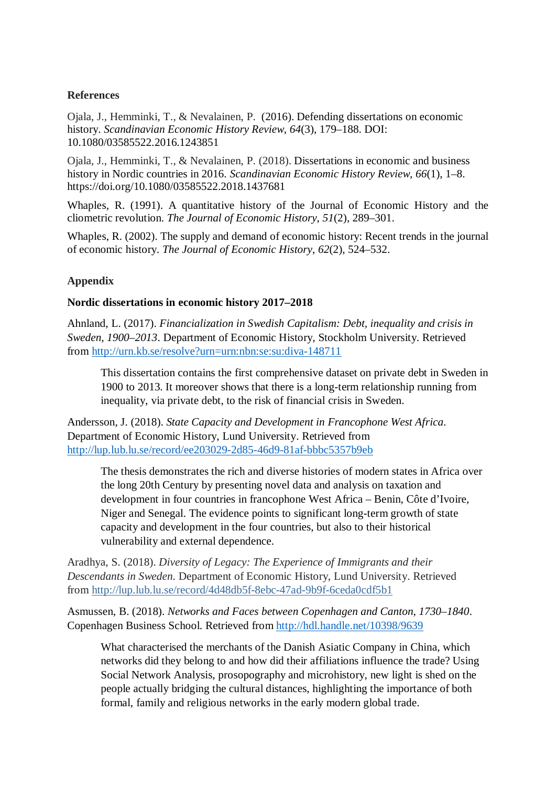#### **References**

Ojala, J., Hemminki, T., & Nevalainen, P. (2016). Defending dissertations on economic history. *Scandinavian Economic History Review*, *64*(3), 179–188. DOI: 10.1080/03585522.2016.1243851

Ojala, J., Hemminki, T., & Nevalainen, P. (2018). Dissertations in economic and business history in Nordic countries in 2016. *Scandinavian Economic History Review, 66*(1), 1–8. https://doi.org/10.1080/03585522.2018.1437681

Whaples, R. (1991). A quantitative history of the Journal of Economic History and the cliometric revolution. *The Journal of Economic History*, *51*(2), 289–301.

Whaples, R. (2002). The supply and demand of economic history: Recent trends in the journal of economic history. *The Journal of Economic History*, *62*(2), 524–532.

## **Appendix**

### **Nordic dissertations in economic history 2017–2018**

Ahnland, L. (2017). *Financialization in Swedish Capitalism: Debt, inequality and crisis in Sweden, 1900–2013*. Department of Economic History, Stockholm University. Retrieved from http://urn.kb.se/resolve?urn=urn:nbn:se:su:diva-148711

This dissertation contains the first comprehensive dataset on private debt in Sweden in 1900 to 2013. It moreover shows that there is a long-term relationship running from inequality, via private debt, to the risk of financial crisis in Sweden.

Andersson, J. (2018). *State Capacity and Development in Francophone West Africa*. Department of Economic History, Lund University. Retrieved from http://lup.lub.lu.se/record/ee203029-2d85-46d9-81af-bbbc5357b9eb

The thesis demonstrates the rich and diverse histories of modern states in Africa over the long 20th Century by presenting novel data and analysis on taxation and development in four countries in francophone West Africa – Benin, Côte d'Ivoire, Niger and Senegal. The evidence points to significant long-term growth of state capacity and development in the four countries, but also to their historical vulnerability and external dependence.

Aradhya, S. (2018). *Diversity of Legacy: The Experience of Immigrants and their Descendants in Sweden*. Department of Economic History, Lund University. Retrieved from http://lup.lub.lu.se/record/4d48db5f-8ebc-47ad-9b9f-6ceda0cdf5b1

Asmussen, B. (2018). *Networks and Faces between Copenhagen and Canton, 1730–1840*. Copenhagen Business School. Retrieved from http://hdl.handle.net/10398/9639

What characterised the merchants of the Danish Asiatic Company in China, which networks did they belong to and how did their affiliations influence the trade? Using Social Network Analysis, prosopography and microhistory, new light is shed on the people actually bridging the cultural distances, highlighting the importance of both formal, family and religious networks in the early modern global trade.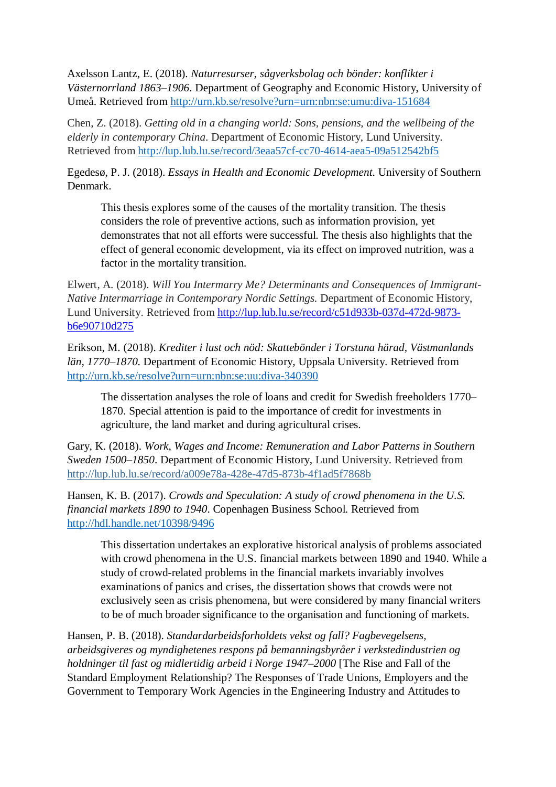Axelsson Lantz, E. (2018). *Naturresurser, sågverksbolag och bönder: konflikter i Västernorrland 1863–1906*. Department of Geography and Economic History, University of Umeå. Retrieved from http://urn.kb.se/resolve?urn=urn:nbn:se:umu:diva-151684

Chen, Z. (2018). *Getting old in a changing world: Sons, pensions, and the wellbeing of the elderly in contemporary China*. Department of Economic History, Lund University. Retrieved from http://lup.lub.lu.se/record/3eaa57cf-cc70-4614-aea5-09a512542bf5

Egedesø, P. J. (2018). *Essays in Health and Economic Development*. University of Southern Denmark.

This thesis explores some of the causes of the mortality transition. The thesis considers the role of preventive actions, such as information provision, yet demonstrates that not all efforts were successful. The thesis also highlights that the effect of general economic development, via its effect on improved nutrition, was a factor in the mortality transition.

Elwert, A. (2018). *Will You Intermarry Me? Determinants and Consequences of Immigrant-Native Intermarriage in Contemporary Nordic Settings.* Department of Economic History, Lund University. Retrieved from http://lup.lub.lu.se/record/c51d933b-037d-472d-9873 b6e90710d275

Erikson, M. (2018). *Krediter i lust och nöd: Skattebönder i Torstuna härad, Västmanlands län, 1770‒1870*. Department of Economic History, Uppsala University. Retrieved from http://urn.kb.se/resolve?urn=urn:nbn:se:uu:diva-340390

The dissertation analyses the role of loans and credit for Swedish freeholders 1770– 1870. Special attention is paid to the importance of credit for investments in agriculture, the land market and during agricultural crises.

Gary, K. (2018). *Work, Wages and Income: Remuneration and Labor Patterns in Southern Sweden 1500–1850*. Department of Economic History, Lund University. Retrieved from http://lup.lub.lu.se/record/a009e78a-428e-47d5-873b-4f1ad5f7868b

Hansen, K. B. (2017). *Crowds and Speculation: A study of crowd phenomena in the U.S. financial markets 1890 to 1940*. Copenhagen Business School. Retrieved from http://hdl.handle.net/10398/9496

This dissertation undertakes an explorative historical analysis of problems associated with crowd phenomena in the U.S. financial markets between 1890 and 1940. While a study of crowd-related problems in the financial markets invariably involves examinations of panics and crises, the dissertation shows that crowds were not exclusively seen as crisis phenomena, but were considered by many financial writers to be of much broader significance to the organisation and functioning of markets.

Hansen, P. B. (2018). *Standardarbeidsforholdets vekst og fall? Fagbevegelsens, arbeidsgiveres og myndighetenes respons på bemanningsbyråer i verkstedindustrien og holdninger til fast og midlertidig arbeid i Norge 1947–2000* [The Rise and Fall of the Standard Employment Relationship? The Responses of Trade Unions, Employers and the Government to Temporary Work Agencies in the Engineering Industry and Attitudes to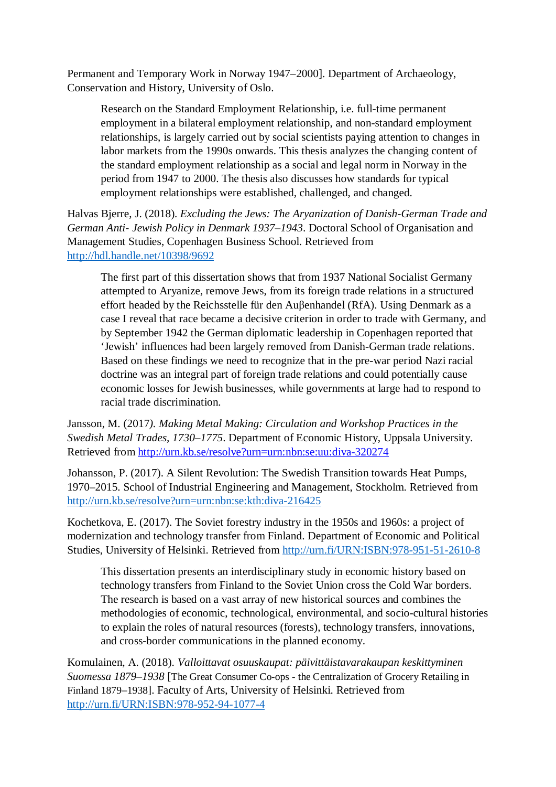Permanent and Temporary Work in Norway 1947–2000]. Department of Archaeology, Conservation and History, University of Oslo.

Research on the Standard Employment Relationship, i.e. full-time permanent employment in a bilateral employment relationship, and non-standard employment relationships, is largely carried out by social scientists paying attention to changes in labor markets from the 1990s onwards. This thesis analyzes the changing content of the standard employment relationship as a social and legal norm in Norway in the period from 1947 to 2000. The thesis also discusses how standards for typical employment relationships were established, challenged, and changed.

Halvas Bjerre, J. (2018). *Excluding the Jews: The Aryanization of Danish-German Trade and German Anti- Jewish Policy in Denmark 1937–1943*. Doctoral School of Organisation and Management Studies, Copenhagen Business School. Retrieved from http://hdl.handle.net/10398/9692

The first part of this dissertation shows that from 1937 National Socialist Germany attempted to Aryanize, remove Jews, from its foreign trade relations in a structured effort headed by the Reichsstelle für den Auβenhandel (RfA). Using Denmark as a case I reveal that race became a decisive criterion in order to trade with Germany, and by September 1942 the German diplomatic leadership in Copenhagen reported that 'Jewish' influences had been largely removed from Danish-German trade relations. Based on these findings we need to recognize that in the pre-war period Nazi racial doctrine was an integral part of foreign trade relations and could potentially cause economic losses for Jewish businesses, while governments at large had to respond to racial trade discrimination.

Jansson, M. (2017*). Making Metal Making: Circulation and Workshop Practices in the Swedish Metal Trades, 1730–1775*. Department of Economic History, Uppsala University. Retrieved from http://urn.kb.se/resolve?urn=urn:nbn:se:uu:diva-320274

Johansson, P. (2017). A Silent Revolution: The Swedish Transition towards Heat Pumps, 1970–2015. School of Industrial Engineering and Management, Stockholm. Retrieved from http://urn.kb.se/resolve?urn=urn:nbn:se:kth:diva-216425

Kochetkova, E. (2017). The Soviet forestry industry in the 1950s and 1960s: a project of modernization and technology transfer from Finland. Department of Economic and Political Studies, University of Helsinki. Retrieved from http://urn.fi/URN:ISBN:978-951-51-2610-8

This dissertation presents an interdisciplinary study in economic history based on technology transfers from Finland to the Soviet Union cross the Cold War borders. The research is based on a vast array of new historical sources and combines the methodologies of economic, technological, environmental, and socio-cultural histories to explain the roles of natural resources (forests), technology transfers, innovations, and cross-border communications in the planned economy.

Komulainen, A. (2018). *Valloittavat osuuskaupat: päivittäistavarakaupan keskittyminen Suomessa 1879–1938* [The Great Consumer Co-ops - the Centralization of Grocery Retailing in Finland 1879*–*1938]. Faculty of Arts, University of Helsinki. Retrieved from http://urn.fi/URN:ISBN:978-952-94-1077-4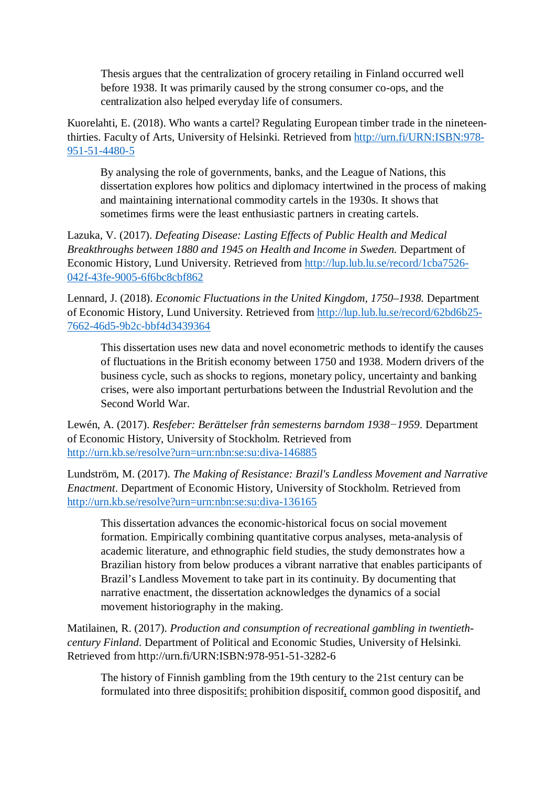Thesis argues that the centralization of grocery retailing in Finland occurred well before 1938. It was primarily caused by the strong consumer co-ops, and the centralization also helped everyday life of consumers.

Kuorelahti, E. (2018). Who wants a cartel? Regulating European timber trade in the nineteenthirties. Faculty of Arts, University of Helsinki. Retrieved from http://urn.fi/URN:ISBN:978- 951-51-4480-5

By analysing the role of governments, banks, and the League of Nations, this dissertation explores how politics and diplomacy intertwined in the process of making and maintaining international commodity cartels in the 1930s. It shows that sometimes firms were the least enthusiastic partners in creating cartels.

Lazuka, V. (2017). *Defeating Disease: Lasting Effects of Public Health and Medical Breakthroughs between 1880 and 1945 on Health and Income in Sweden.* Department of Economic History, Lund University. Retrieved from http://lup.lub.lu.se/record/1cba7526- 042f-43fe-9005-6f6bc8cbf862

Lennard, J. (2018). *Economic Fluctuations in the United Kingdom, 1750–1938*. Department of Economic History, Lund University. Retrieved from http://lup.lub.lu.se/record/62bd6b25- 7662-46d5-9b2c-bbf4d3439364

This dissertation uses new data and novel econometric methods to identify the causes of fluctuations in the British economy between 1750 and 1938. Modern drivers of the business cycle, such as shocks to regions, monetary policy, uncertainty and banking crises, were also important perturbations between the Industrial Revolution and the Second World War.

Lewén, A. (2017). *Resfeber: Berättelser från semesterns barndom 1938−1959*. Department of Economic History, University of Stockholm. Retrieved from http://urn.kb.se/resolve?urn=urn:nbn:se:su:diva-146885

Lundström, M. (2017). *The Making of Resistance: Brazil's Landless Movement and Narrative Enactment*. Department of Economic History, University of Stockholm. Retrieved from http://urn.kb.se/resolve?urn=urn:nbn:se:su:diva-136165

This dissertation advances the economic-historical focus on social movement formation. Empirically combining quantitative corpus analyses, meta-analysis of academic literature, and ethnographic field studies, the study demonstrates how a Brazilian history from below produces a vibrant narrative that enables participants of Brazil's Landless Movement to take part in its continuity. By documenting that narrative enactment, the dissertation acknowledges the dynamics of a social movement historiography in the making.

Matilainen, R. (2017). *Production and consumption of recreational gambling in twentiethcentury Finland*. Department of Political and Economic Studies, University of Helsinki. Retrieved from http://urn.fi/URN:ISBN:978-951-51-3282-6

The history of Finnish gambling from the 19th century to the 21st century can be formulated into three dispositifs: prohibition dispositif, common good dispositif, and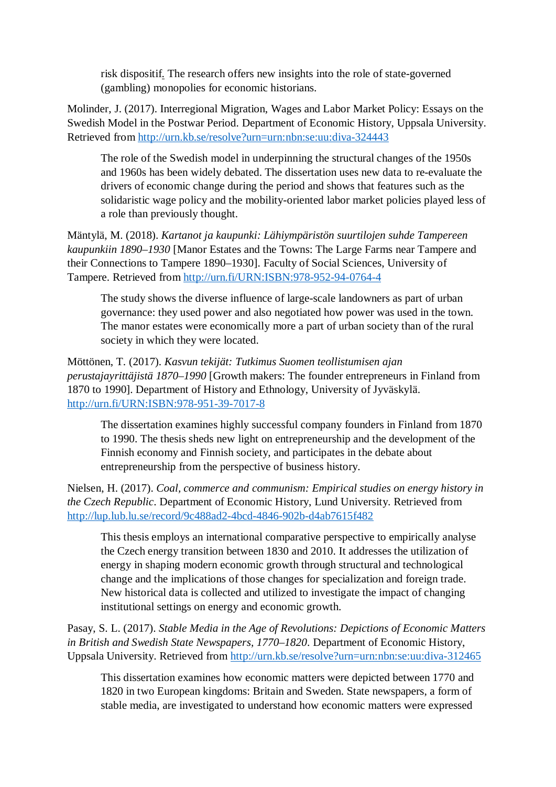risk dispositif. The research offers new insights into the role of state-governed (gambling) monopolies for economic historians.

Molinder, J. (2017). Interregional Migration, Wages and Labor Market Policy: Essays on the Swedish Model in the Postwar Period. Department of Economic History, Uppsala University. Retrieved from http://urn.kb.se/resolve?urn=urn:nbn:se:uu:diva-324443

The role of the Swedish model in underpinning the structural changes of the 1950s and 1960s has been widely debated. The dissertation uses new data to re-evaluate the drivers of economic change during the period and shows that features such as the solidaristic wage policy and the mobility-oriented labor market policies played less of a role than previously thought.

Mäntylä, M. (2018). *Kartanot ja kaupunki: Lähiympäristön suurtilojen suhde Tampereen kaupunkiin 1890–1930* [Manor Estates and the Towns: The Large Farms near Tampere and their Connections to Tampere 1890–1930]. Faculty of Social Sciences, University of Tampere. Retrieved from http://urn.fi/URN:ISBN:978-952-94-0764-4

The study shows the diverse influence of large-scale landowners as part of urban governance: they used power and also negotiated how power was used in the town. The manor estates were economically more a part of urban society than of the rural society in which they were located.

Möttönen, T. (2017). *Kasvun tekijät: Tutkimus Suomen teollistumisen ajan perustajayrittäjistä 1870–1990* [Growth makers: The founder entrepreneurs in Finland from 1870 to 1990]. Department of History and Ethnology, University of Jyväskylä. http://urn.fi/URN:ISBN:978-951-39-7017-8

The dissertation examines highly successful company founders in Finland from 1870 to 1990. The thesis sheds new light on entrepreneurship and the development of the Finnish economy and Finnish society, and participates in the debate about entrepreneurship from the perspective of business history.

Nielsen, H. (2017). *Coal, commerce and communism: Empirical studies on energy history in the Czech Republic*. Department of Economic History, Lund University. Retrieved from http://lup.lub.lu.se/record/9c488ad2-4bcd-4846-902b-d4ab7615f482

This thesis employs an international comparative perspective to empirically analyse the Czech energy transition between 1830 and 2010. It addresses the utilization of energy in shaping modern economic growth through structural and technological change and the implications of those changes for specialization and foreign trade. New historical data is collected and utilized to investigate the impact of changing institutional settings on energy and economic growth.

Pasay, S. L. (2017). *Stable Media in the Age of Revolutions: Depictions of Economic Matters in British and Swedish State Newspapers, 1770–1820*. Department of Economic History, Uppsala University. Retrieved from http://urn.kb.se/resolve?urn=urn:nbn:se:uu:diva-312465

This dissertation examines how economic matters were depicted between 1770 and 1820 in two European kingdoms: Britain and Sweden. State newspapers, a form of stable media, are investigated to understand how economic matters were expressed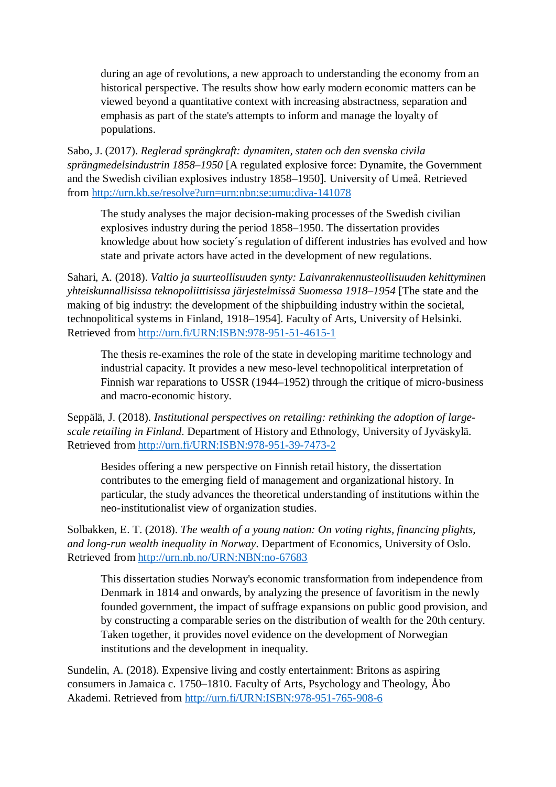during an age of revolutions, a new approach to understanding the economy from an historical perspective. The results show how early modern economic matters can be viewed beyond a quantitative context with increasing abstractness, separation and emphasis as part of the state's attempts to inform and manage the loyalty of populations.

Sabo, J. (2017). *Reglerad sprängkraft: dynamiten, staten och den svenska civila sprängmedelsindustrin 1858–1950* [A regulated explosive force: Dynamite, the Government and the Swedish civilian explosives industry 1858–1950]. University of Umeå. Retrieved from http://urn.kb.se/resolve?urn=urn:nbn:se:umu:diva-141078

The study analyses the major decision-making processes of the Swedish civilian explosives industry during the period 1858–1950. The dissertation provides knowledge about how society´s regulation of different industries has evolved and how state and private actors have acted in the development of new regulations.

Sahari, A. (2018). *Valtio ja suurteollisuuden synty: Laivanrakennusteollisuuden kehittyminen yhteiskunnallisissa teknopoliittisissa järjestelmissä Suomessa 1918–1954* [The state and the making of big industry: the development of the shipbuilding industry within the societal, technopolitical systems in Finland, 1918–1954]. Faculty of Arts, University of Helsinki. Retrieved from http://urn.fi/URN:ISBN:978-951-51-4615-1

The thesis re-examines the role of the state in developing maritime technology and industrial capacity. It provides a new meso-level technopolitical interpretation of Finnish war reparations to USSR (1944–1952) through the critique of micro-business and macro-economic history.

Seppälä, J. (2018). *Institutional perspectives on retailing: rethinking the adoption of largescale retailing in Finland*. Department of History and Ethnology, University of Jyväskylä. Retrieved from http://urn.fi/URN:ISBN:978-951-39-7473-2

Besides offering a new perspective on Finnish retail history, the dissertation contributes to the emerging field of management and organizational history. In particular, the study advances the theoretical understanding of institutions within the neo-institutionalist view of organization studies.

Solbakken, E. T. (2018). *The wealth of a young nation: On voting rights, financing plights, and long-run wealth inequality in Norway*. Department of Economics, University of Oslo. Retrieved from http://urn.nb.no/URN:NBN:no-67683

This dissertation studies Norway's economic transformation from independence from Denmark in 1814 and onwards, by analyzing the presence of favoritism in the newly founded government, the impact of suffrage expansions on public good provision, and by constructing a comparable series on the distribution of wealth for the 20th century. Taken together, it provides novel evidence on the development of Norwegian institutions and the development in inequality.

Sundelin, A. (2018). Expensive living and costly entertainment: Britons as aspiring consumers in Jamaica c. 1750–1810. Faculty of Arts, Psychology and Theology, Åbo Akademi. Retrieved from http://urn.fi/URN:ISBN:978-951-765-908-6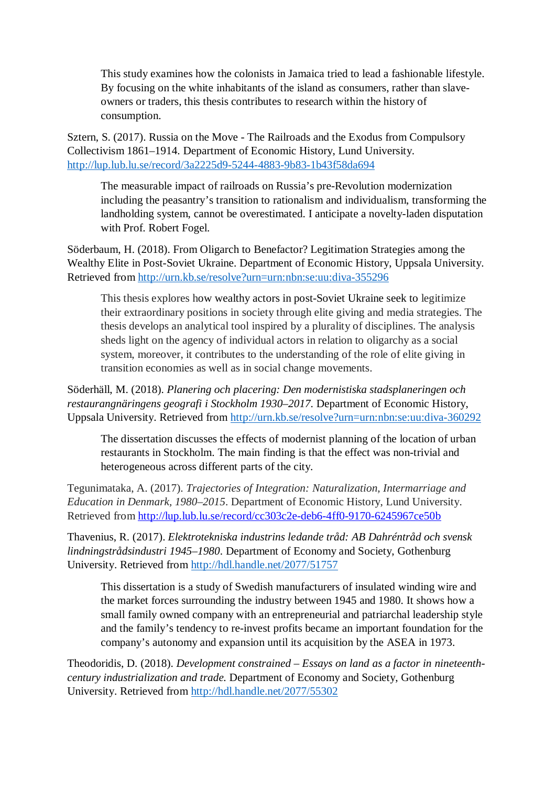This study examines how the colonists in Jamaica tried to lead a fashionable lifestyle. By focusing on the white inhabitants of the island as consumers, rather than slaveowners or traders, this thesis contributes to research within the history of consumption.

Sztern, S. (2017). Russia on the Move - The Railroads and the Exodus from Compulsory Collectivism 1861–1914. Department of Economic History, Lund University. http://lup.lub.lu.se/record/3a2225d9-5244-4883-9b83-1b43f58da694

The measurable impact of railroads on Russia's pre-Revolution modernization including the peasantry's transition to rationalism and individualism, transforming the landholding system, cannot be overestimated. I anticipate a novelty-laden disputation with Prof. Robert Fogel.

Söderbaum, H. (2018). From Oligarch to Benefactor? Legitimation Strategies among the Wealthy Elite in Post-Soviet Ukraine. Department of Economic History, Uppsala University. Retrieved from http://urn.kb.se/resolve?urn=urn:nbn:se:uu:diva-355296

This thesis explores how wealthy actors in post-Soviet Ukraine seek to legitimize their extraordinary positions in society through elite giving and media strategies. The thesis develops an analytical tool inspired by a plurality of disciplines. The analysis sheds light on the agency of individual actors in relation to oligarchy as a social system, moreover, it contributes to the understanding of the role of elite giving in transition economies as well as in social change movements.

Söderhäll, M. (2018). *Planering och placering: Den modernistiska stadsplaneringen och restaurangnäringens geografi i Stockholm 1930–2017*. Department of Economic History, Uppsala University. Retrieved from http://urn.kb.se/resolve?urn=urn:nbn:se:uu:diva-360292

The dissertation discusses the effects of modernist planning of the location of urban restaurants in Stockholm. The main finding is that the effect was non-trivial and heterogeneous across different parts of the city.

Tegunimataka, A. (2017). *Trajectories of Integration: Naturalization, Intermarriage and Education in Denmark, 1980–2015*. Department of Economic History, Lund University. Retrieved from http://lup.lub.lu.se/record/cc303c2e-deb6-4ff0-9170-6245967ce50b

Thavenius, R. (2017). *Elektrotekniska industrins ledande tråd: AB Dahréntråd och svensk lindningstrådsindustri 1945–1980*. Department of Economy and Society, Gothenburg University. Retrieved from http://hdl.handle.net/2077/51757

This dissertation is a study of Swedish manufacturers of insulated winding wire and the market forces surrounding the industry between 1945 and 1980. It shows how a small family owned company with an entrepreneurial and patriarchal leadership style and the family's tendency to re-invest profits became an important foundation for the company's autonomy and expansion until its acquisition by the ASEA in 1973.

Theodoridis, D. (2018). *Development constrained – Essays on land as a factor in nineteenthcentury industrialization and trade.* Department of Economy and Society, Gothenburg University. Retrieved from http://hdl.handle.net/2077/55302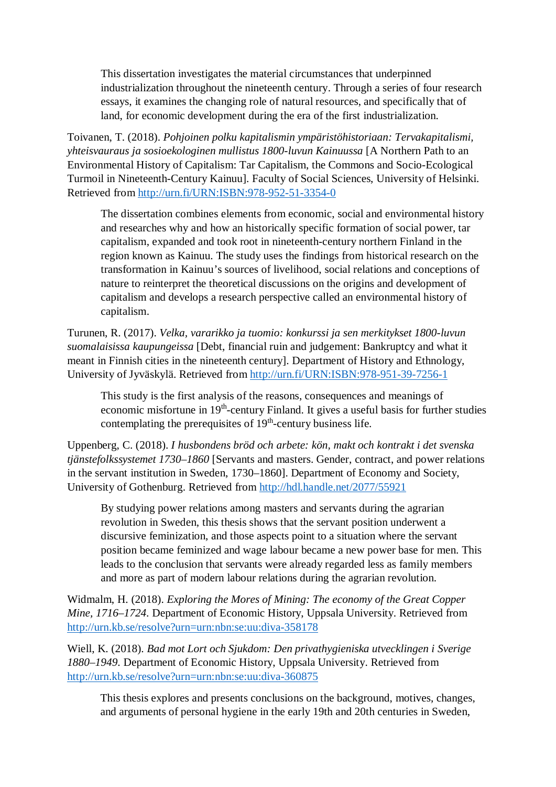This dissertation investigates the material circumstances that underpinned industrialization throughout the nineteenth century. Through a series of four research essays, it examines the changing role of natural resources, and specifically that of land, for economic development during the era of the first industrialization.

Toivanen, T. (2018). *Pohjoinen polku kapitalismin ympäristöhistoriaan: Tervakapitalismi, yhteisvauraus ja sosioekologinen mullistus 1800-luvun Kainuussa* [A Northern Path to an Environmental History of Capitalism: Tar Capitalism, the Commons and Socio-Ecological Turmoil in Nineteenth-Century Kainuu]. Faculty of Social Sciences, University of Helsinki. Retrieved from http://urn.fi/URN:ISBN:978-952-51-3354-0

The dissertation combines elements from economic, social and environmental history and researches why and how an historically specific formation of social power, tar capitalism, expanded and took root in nineteenth-century northern Finland in the region known as Kainuu. The study uses the findings from historical research on the transformation in Kainuu's sources of livelihood, social relations and conceptions of nature to reinterpret the theoretical discussions on the origins and development of capitalism and develops a research perspective called an environmental history of capitalism.

Turunen, R. (2017). *Velka, vararikko ja tuomio: konkurssi ja sen merkitykset 1800-luvun suomalaisissa kaupungeissa* [Debt, financial ruin and judgement: Bankruptcy and what it meant in Finnish cities in the nineteenth century]. Department of History and Ethnology, University of Jyväskylä. Retrieved from http://urn.fi/URN:ISBN:978-951-39-7256-1

This study is the first analysis of the reasons, consequences and meanings of economic misfortune in 19th-century Finland. It gives a useful basis for further studies contemplating the prerequisites of  $19<sup>th</sup>$ -century business life.

Uppenberg, C. (2018). *I husbondens bröd och arbete: kön, makt och kontrakt i det svenska tjänstefolkssystemet 1730–1860* [Servants and masters. Gender, contract, and power relations in the servant institution in Sweden, 1730–1860]. Department of Economy and Society, University of Gothenburg. Retrieved from http://hdl.handle.net/2077/55921

By studying power relations among masters and servants during the agrarian revolution in Sweden, this thesis shows that the servant position underwent a discursive feminization, and those aspects point to a situation where the servant position became feminized and wage labour became a new power base for men. This leads to the conclusion that servants were already regarded less as family members and more as part of modern labour relations during the agrarian revolution.

Widmalm, H. (2018). *Exploring the Mores of Mining: The economy of the Great Copper Mine, 1716–1724*. Department of Economic History, Uppsala University. Retrieved from http://urn.kb.se/resolve?urn=urn:nbn:se:uu:diva-358178

Wiell, K. (2018). *Bad mot Lort och Sjukdom: Den privathygieniska utvecklingen i Sverige 1880–1949*. Department of Economic History, Uppsala University. Retrieved from http://urn.kb.se/resolve?urn=urn:nbn:se:uu:diva-360875

This thesis explores and presents conclusions on the background, motives, changes, and arguments of personal hygiene in the early 19th and 20th centuries in Sweden,